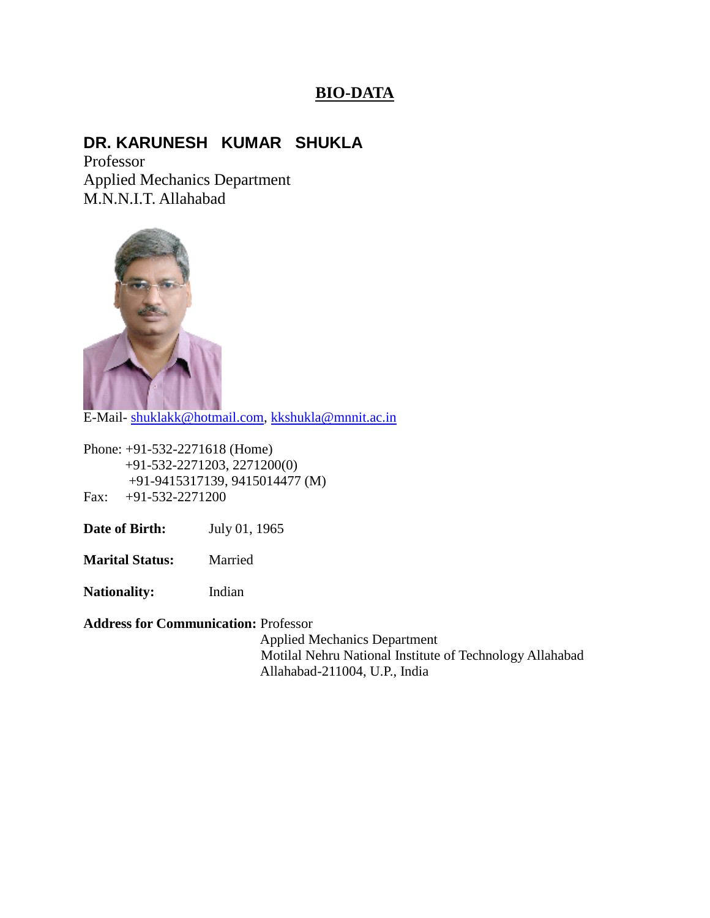# **BIO-DATA**

# **DR. KARUNESH KUMAR SHUKLA**

Professor Applied Mechanics Department M.N.N.I.T. Allahabad



E-Mail- [shuklakk@hotmail.com,](mailto:shuklakk@hotmail.com) [kkshukla@mnnit.ac.in](mailto:kkshukla@mnnit.ac.in)

Phone: +91-532-2271618 (Home) +91-532-2271203, 2271200(0) +91-9415317139, 9415014477 (M) Fax: +91-532-2271200

**Date of Birth:** July 01, 1965

**Marital Status:** Married

**Nationality:** Indian

**Address for Communication:** Professor

 Applied Mechanics Department Motilal Nehru National Institute of Technology Allahabad Allahabad-211004, U.P., India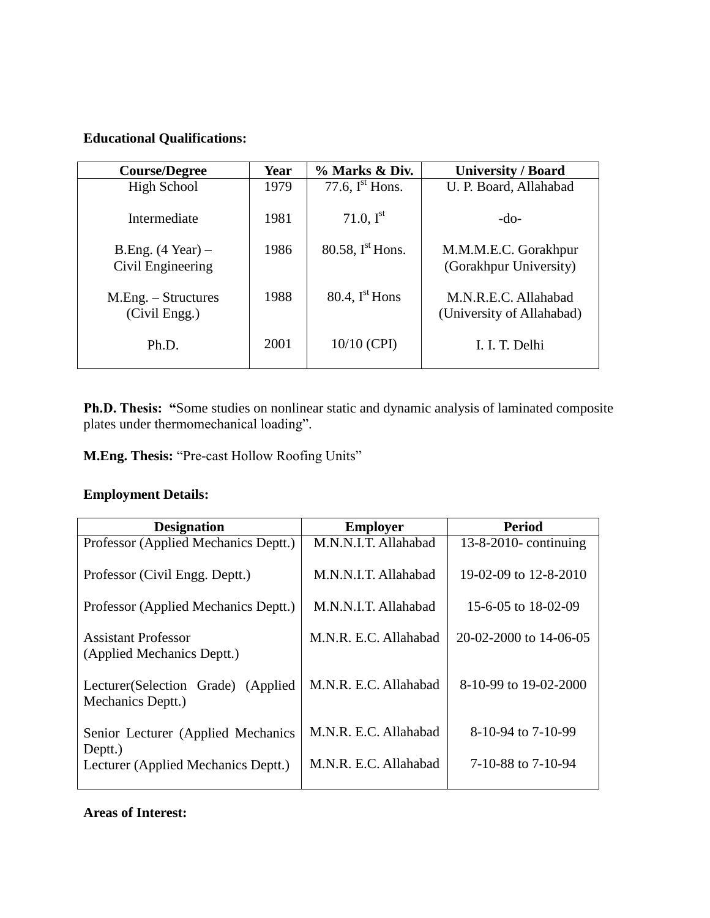#### **Educational Qualifications:**

| <b>Course/Degree</b>                             | Year | % Marks & Div.              | <b>University / Board</b>                         |
|--------------------------------------------------|------|-----------------------------|---------------------------------------------------|
| <b>High School</b>                               | 1979 | 77.6, $I^{\text{st}}$ Hons. | U. P. Board, Allahabad                            |
| Intermediate                                     | 1981 | 71.0, $I^{st}$              | $-do-$                                            |
| B.Eng. $(4 \text{ Year}) -$<br>Civil Engineering | 1986 | 80.58, $Ist$ Hons.          | M.M.M.E.C. Gorakhpur<br>(Gorakhpur University)    |
| M.Eng. – Structures<br>(Civil Engg.)             | 1988 | 80.4, $I^{\text{st}}$ Hons  | M.N.R.E.C. Allahabad<br>(University of Allahabad) |
| Ph.D.                                            | 2001 | 10/10 (CPI)                 | I. I. T. Delhi                                    |

**Ph.D. Thesis: "**Some studies on nonlinear static and dynamic analysis of laminated composite plates under thermomechanical loading".

**M.Eng. Thesis:** "Pre-cast Hollow Roofing Units"

## **Employment Details:**

| <b>Designation</b>                                       | <b>Employer</b>       | Period                   |
|----------------------------------------------------------|-----------------------|--------------------------|
| Professor (Applied Mechanics Deptt.)                     | M.N.N.I.T. Allahabad  | $13-8-2010$ - continuing |
| Professor (Civil Engg. Deptt.)                           | M.N.N.I.T. Allahabad  | 19-02-09 to 12-8-2010    |
| Professor (Applied Mechanics Deptt.)                     | M.N.N.I.T. Allahabad  | 15-6-05 to 18-02-09      |
| Assistant Professor<br>(Applied Mechanics Deptt.)        | M.N.R. E.C. Allahabad | 20-02-2000 to 14-06-05   |
| Lecturer (Selection Grade) (Applied<br>Mechanics Deptt.) | M.N.R. E.C. Allahabad | 8-10-99 to 19-02-2000    |
| Senior Lecturer (Applied Mechanics<br>Deptt.)            | M.N.R. E.C. Allahabad | 8-10-94 to 7-10-99       |
| Lecturer (Applied Mechanics Deptt.)                      | M.N.R. E.C. Allahabad | 7-10-88 to 7-10-94       |

#### **Areas of Interest:**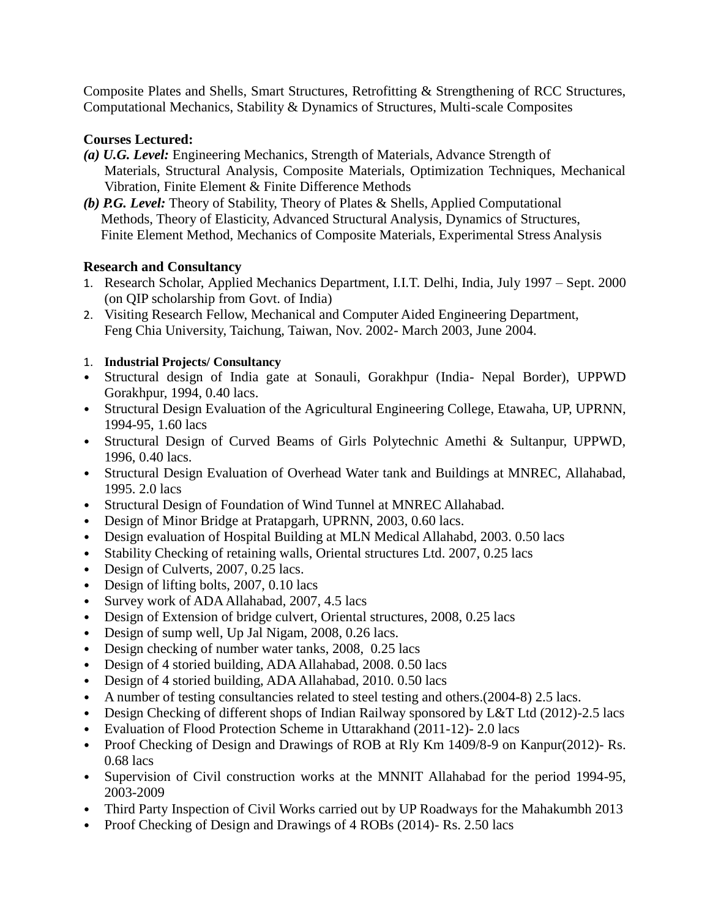Composite Plates and Shells, Smart Structures, Retrofitting & Strengthening of RCC Structures, Computational Mechanics, Stability & Dynamics of Structures, Multi-scale Composites

#### **Courses Lectured:**

- *(a) U.G. Level:* Engineering Mechanics, Strength of Materials, Advance Strength of Materials, Structural Analysis, Composite Materials, Optimization Techniques, Mechanical Vibration, Finite Element & Finite Difference Methods
- *(b) P.G. Level:* Theory of Stability, Theory of Plates & Shells, Applied Computational Methods, Theory of Elasticity, Advanced Structural Analysis, Dynamics of Structures, Finite Element Method, Mechanics of Composite Materials, Experimental Stress Analysis

#### **Research and Consultancy**

- 1. Research Scholar, Applied Mechanics Department, I.I.T. Delhi, India, July 1997 Sept. 2000 (on QIP scholarship from Govt. of India)
- 2. Visiting Research Fellow, Mechanical and Computer Aided Engineering Department, Feng Chia University, Taichung, Taiwan, Nov. 2002- March 2003, June 2004.
- 1. **Industrial Projects/ Consultancy**
- Structural design of India gate at Sonauli, Gorakhpur (India- Nepal Border), UPPWD Gorakhpur, 1994, 0.40 lacs.
- Structural Design Evaluation of the Agricultural Engineering College, Etawaha, UP, UPRNN, 1994-95, 1.60 lacs
- Structural Design of Curved Beams of Girls Polytechnic Amethi & Sultanpur, UPPWD, 1996, 0.40 lacs.
- Structural Design Evaluation of Overhead Water tank and Buildings at MNREC, Allahabad, 1995. 2.0 lacs
- Structural Design of Foundation of Wind Tunnel at MNREC Allahabad.
- Design of Minor Bridge at Pratapgarh, UPRNN, 2003, 0.60 lacs.
- Design evaluation of Hospital Building at MLN Medical Allahabd, 2003. 0.50 lacs
- Stability Checking of retaining walls, Oriental structures Ltd. 2007, 0.25 lacs
- Design of Culverts, 2007, 0.25 lacs.
- Design of lifting bolts, 2007, 0.10 lacs
- Survey work of ADA Allahabad, 2007, 4.5 lacs
- Design of Extension of bridge culvert, Oriental structures, 2008, 0.25 lacs
- Design of sump well, Up Jal Nigam, 2008, 0.26 lacs.
- Design checking of number water tanks, 2008, 0.25 lacs
- Design of 4 storied building, ADA Allahabad, 2008. 0.50 lacs
- Design of 4 storied building, ADA Allahabad, 2010. 0.50 lacs
- A number of testing consultancies related to steel testing and others.(2004-8) 2.5 lacs.
- Design Checking of different shops of Indian Railway sponsored by L&T Ltd (2012)-2.5 lacs
- Evaluation of Flood Protection Scheme in Uttarakhand (2011-12)- 2.0 lacs
- Proof Checking of Design and Drawings of ROB at Rly Km 1409/8-9 on Kanpur(2012)- Rs. 0.68 lacs
- Supervision of Civil construction works at the MNNIT Allahabad for the period 1994-95, 2003-2009
- Third Party Inspection of Civil Works carried out by UP Roadways for the Mahakumbh 2013
- Proof Checking of Design and Drawings of 4 ROBs (2014)- Rs. 2.50 lacs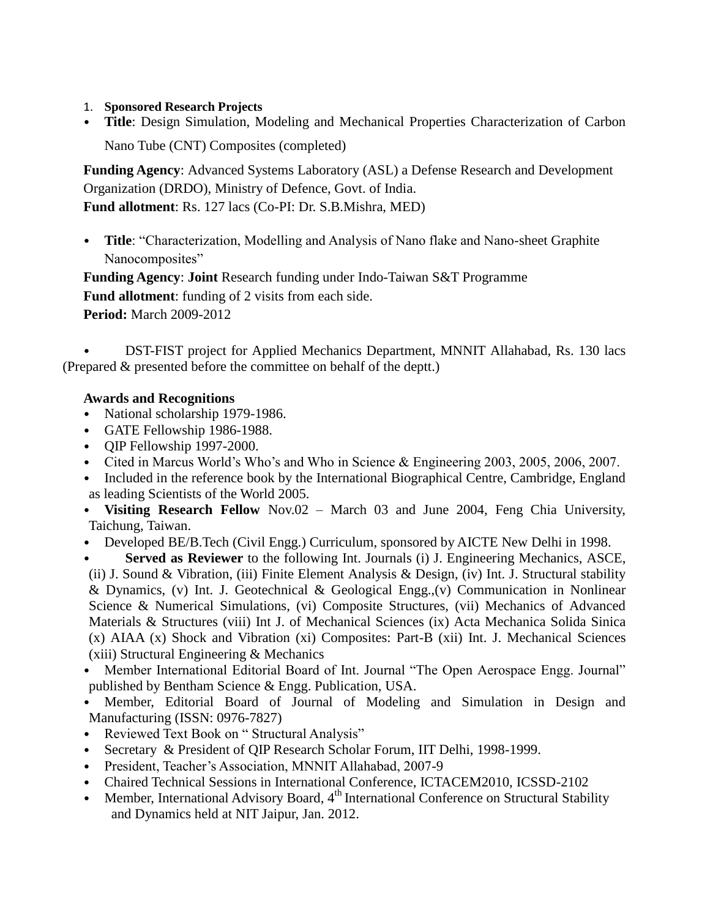- 1. **Sponsored Research Projects**
- **Title**: Design Simulation, Modeling and Mechanical Properties Characterization of Carbon Nano Tube (CNT) Composites (completed)

**Funding Agency**: Advanced Systems Laboratory (ASL) a Defense Research and Development Organization (DRDO), Ministry of Defence, Govt. of India. **Fund allotment**: Rs. 127 lacs (Co-PI: Dr. S.B.Mishra, MED)

• **Title**: "Characterization, Modelling and Analysis of Nano flake and Nano-sheet Graphite Nanocomposites"

**Funding Agency**: **Joint** Research funding under Indo-Taiwan S&T Programme **Fund allotment**: funding of 2 visits from each side. **Period:** March 2009-2012

• DST-FIST project for Applied Mechanics Department, MNNIT Allahabad, Rs. 130 lacs (Prepared & presented before the committee on behalf of the deptt.)

### **Awards and Recognitions**

- National scholarship 1979-1986.
- GATE Fellowship 1986-1988.
- QIP Fellowship 1997-2000.
- Cited in Marcus World's Who's and Who in Science & Engineering 2003, 2005, 2006, 2007.
- Included in the reference book by the International Biographical Centre, Cambridge, England as leading Scientists of the World 2005.
- **Visiting Research Fellow** Nov.02 March 03 and June 2004, Feng Chia University, Taichung, Taiwan.
- Developed BE/B. Tech (Civil Engg.) Curriculum, sponsored by AICTE New Delhi in 1998.
- **Served as Reviewer** to the following Int. Journals (i) J. Engineering Mechanics, ASCE, (ii) J. Sound & Vibration, (iii) Finite Element Analysis & Design, (iv) Int. J. Structural stability & Dynamics, (v) Int. J. Geotechnical & Geological Engg.,(v) Communication in Nonlinear Science & Numerical Simulations, (vi) Composite Structures, (vii) Mechanics of Advanced Materials & Structures (viii) Int J. of Mechanical Sciences (ix) Acta Mechanica Solida Sinica (x) AIAA (x) Shock and Vibration (xi) Composites: Part-B (xii) Int. J. Mechanical Sciences (xiii) Structural Engineering & Mechanics
- Member International Editorial Board of Int. Journal "The Open Aerospace Engg. Journal" published by Bentham Science & Engg. Publication, USA.
- Member, Editorial Board of Journal of Modeling and Simulation in Design and Manufacturing (ISSN: 0976-7827)
- Reviewed Text Book on " Structural Analysis"
- Secretary & President of QIP Research Scholar Forum, IIT Delhi, 1998-1999.
- President, Teacher's Association, MNNIT Allahabad, 2007-9
- Chaired Technical Sessions in International Conference, ICTACEM2010, ICSSD-2102
- Member, International Advisory Board,  $4<sup>th</sup>$  International Conference on Structural Stability and Dynamics held at NIT Jaipur, Jan. 2012.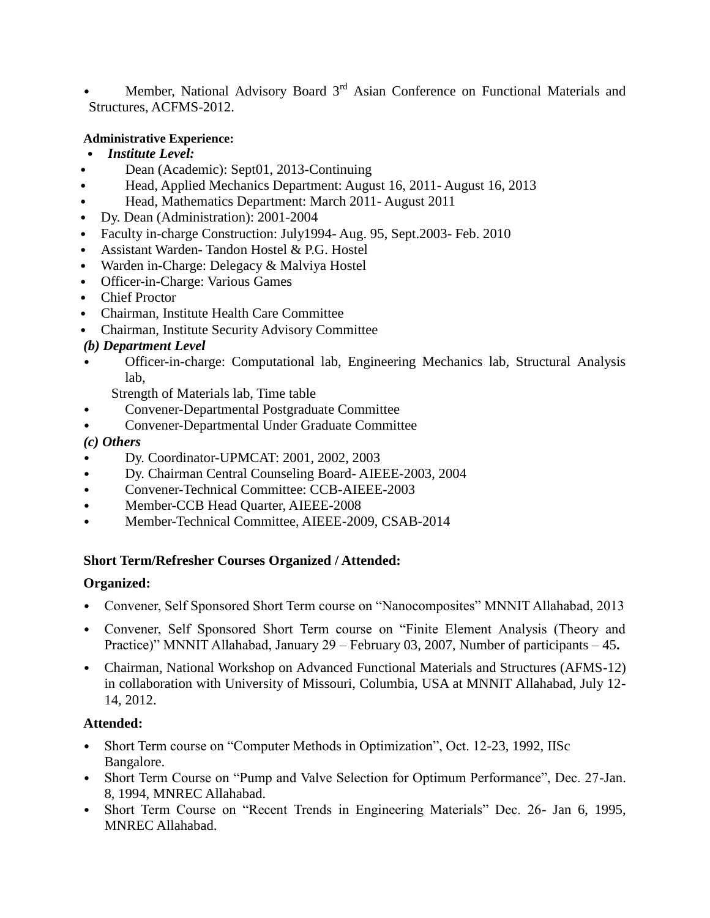Member, National Advisory Board 3<sup>rd</sup> Asian Conference on Functional Materials and Structures, ACFMS-2012.

#### **Administrative Experience:**

- *Institute Level:*
- Dean (Academic): Sept01, 2013-Continuing
- Head, Applied Mechanics Department: August 16, 2011- August 16, 2013
- Head, Mathematics Department: March 2011- August 2011
- Dy. Dean (Administration): 2001-2004
- Faculty in-charge Construction: July1994- Aug. 95, Sept.2003- Feb. 2010
- Assistant Warden- Tandon Hostel & P.G. Hostel
- Warden in-Charge: Delegacy & Malviya Hostel
- Officer-in-Charge: Various Games
- Chief Proctor
- Chairman, Institute Health Care Committee
- Chairman, Institute Security Advisory Committee

### *(b) Department Level*

• Officer-in-charge: Computational lab, Engineering Mechanics lab, Structural Analysis lab,

Strength of Materials lab, Time table

- Convener-Departmental Postgraduate Committee
- Convener-Departmental Under Graduate Committee

#### *(c) Others*

- Dy. Coordinator-UPMCAT: 2001, 2002, 2003
- Dy. Chairman Central Counseling Board- AIEEE-2003, 2004
- Convener-Technical Committee: CCB-AIEEE-2003
- Member-CCB Head Quarter, AIEEE-2008
- Member-Technical Committee, AIEEE-2009, CSAB-2014

## **Short Term/Refresher Courses Organized / Attended:**

#### **Organized:**

- Convener, Self Sponsored Short Term course on "Nanocomposites" MNNIT Allahabad, 2013
- Convener, Self Sponsored Short Term course on "Finite Element Analysis (Theory and Practice)" MNNIT Allahabad, January 29 – February 03, 2007, Number of participants – 45**.**
- Chairman, National Workshop on Advanced Functional Materials and Structures (AFMS-12) in collaboration with University of Missouri, Columbia, USA at MNNIT Allahabad, July 12- 14, 2012.

#### **Attended:**

- Short Term course on "Computer Methods in Optimization", Oct. 12-23, 1992, IISc Bangalore.
- Short Term Course on "Pump and Valve Selection for Optimum Performance", Dec. 27-Jan. 8, 1994, MNREC Allahabad.
- Short Term Course on "Recent Trends in Engineering Materials" Dec. 26- Jan 6, 1995, MNREC Allahabad.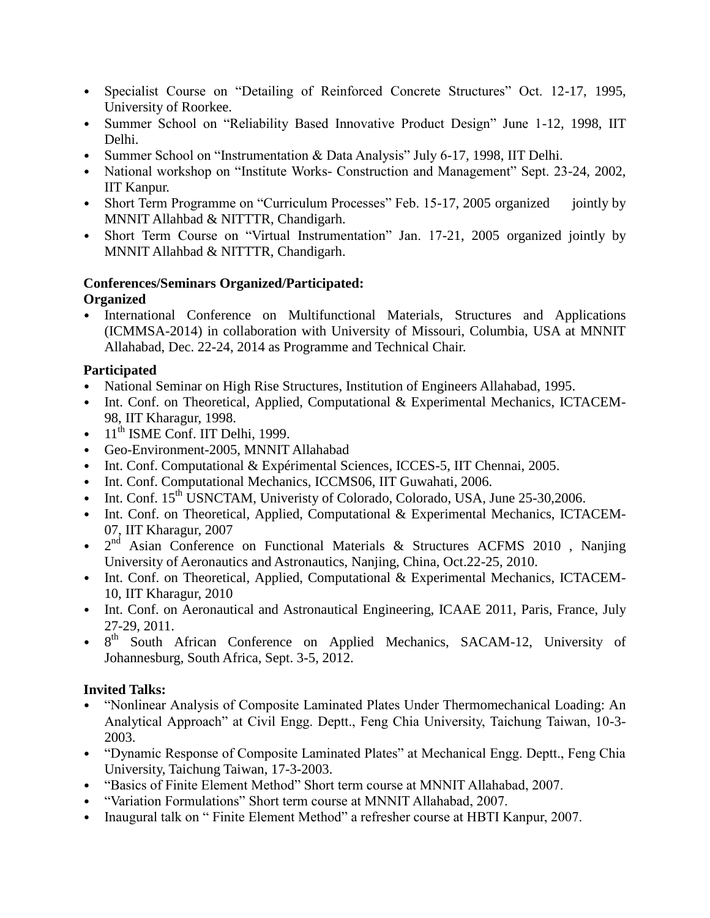- Specialist Course on "Detailing of Reinforced Concrete Structures" Oct. 12-17, 1995, University of Roorkee.
- Summer School on "Reliability Based Innovative Product Design" June 1-12, 1998, IIT Delhi.
- Summer School on "Instrumentation & Data Analysis" July 6-17, 1998, IIT Delhi.
- National workshop on "Institute Works- Construction and Management" Sept. 23-24, 2002, IIT Kanpur.
- Short Term Programme on "Curriculum Processes" Feb. 15-17, 2005 organized jointly by MNNIT Allahbad & NITTTR, Chandigarh.
- Short Term Course on "Virtual Instrumentation" Jan. 17-21, 2005 organized jointly by MNNIT Allahbad & NITTTR, Chandigarh.

# **Conferences/Seminars Organized/Participated:**

## **Organized**

• International Conference on Multifunctional Materials, Structures and Applications (ICMMSA-2014) in collaboration with University of Missouri, Columbia, USA at MNNIT Allahabad, Dec. 22-24, 2014 as Programme and Technical Chair.

## **Participated**

- National Seminar on High Rise Structures, Institution of Engineers Allahabad, 1995.
- Int. Conf. on Theoretical, Applied, Computational & Experimental Mechanics, ICTACEM-98, IIT Kharagur, 1998.
- $\bullet$  11<sup>th</sup> ISME Conf. IIT Delhi, 1999.
- Geo-Environment-2005, MNNIT Allahabad
- Int. Conf. Computational & Expérimental Sciences, ICCES-5, IIT Chennai, 2005.
- Int. Conf. Computational Mechanics, ICCMS06, IIT Guwahati, 2006.
- Int. Conf. 15<sup>th</sup> USNCTAM, Univeristy of Colorado, Colorado, USA, June 25-30,2006.
- Int. Conf. on Theoretical, Applied, Computational & Experimental Mechanics, ICTACEM-07, IIT Kharagur, 2007
- $2<sup>nd</sup>$  Asian Conference on Functional Materials & Structures ACFMS 2010, Nanjing University of Aeronautics and Astronautics, Nanjing, China, Oct.22-25, 2010.
- Int. Conf. on Theoretical, Applied, Computational & Experimental Mechanics, ICTACEM-10, IIT Kharagur, 2010
- Int. Conf. on Aeronautical and Astronautical Engineering, ICAAE 2011, Paris, France, July 27-29, 2011.
- 8<sup>th</sup> South African Conference on Applied Mechanics, SACAM-12, University of Johannesburg, South Africa, Sept. 3-5, 2012.

## **Invited Talks:**

- "Nonlinear Analysis of Composite Laminated Plates Under Thermomechanical Loading: An Analytical Approach" at Civil Engg. Deptt., Feng Chia University, Taichung Taiwan, 10-3- 2003.
- "Dynamic Response of Composite Laminated Plates" at Mechanical Engg. Deptt., Feng Chia University, Taichung Taiwan, 17-3-2003.
- "Basics of Finite Element Method" Short term course at MNNIT Allahabad, 2007.
- "Variation Formulations" Short term course at MNNIT Allahabad, 2007.
- Inaugural talk on "Finite Element Method" a refresher course at HBTI Kanpur, 2007.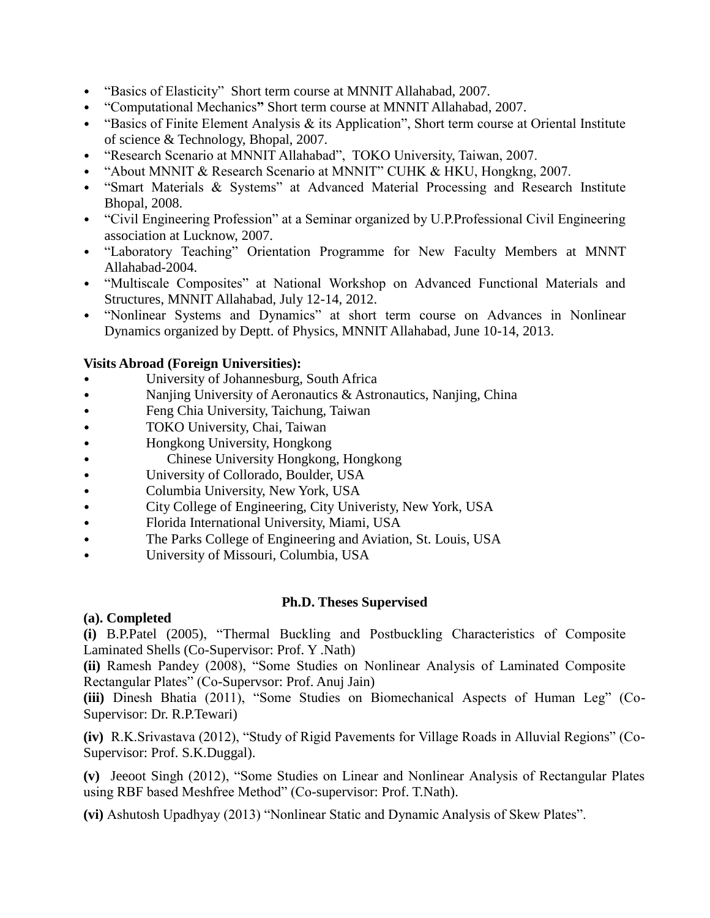- "Basics of Elasticity"Short term course at MNNIT Allahabad, 2007.
- "Computational Mechanics**"** Short term course at MNNIT Allahabad, 2007.
- "Basics of Finite Element Analysis & its Application", Short term course at Oriental Institute of science & Technology, Bhopal, 2007.
- "Research Scenario at MNNIT Allahabad", TOKO University, Taiwan, 2007.
- "About MNNIT & Research Scenario at MNNIT" CUHK & HKU, Hongkng, 2007.
- "Smart Materials & Systems" at Advanced Material Processing and Research Institute Bhopal, 2008.
- "Civil Engineering Profession" at a Seminar organized by U.P.Professional Civil Engineering association at Lucknow, 2007.
- "Laboratory Teaching" Orientation Programme for New Faculty Members at MNNT Allahabad-2004.
- "Multiscale Composites" at National Workshop on Advanced Functional Materials and Structures, MNNIT Allahabad, July 12-14, 2012.
- "Nonlinear Systems and Dynamics" at short term course on Advances in Nonlinear Dynamics organized by Deptt. of Physics, MNNIT Allahabad, June 10-14, 2013.

#### **Visits Abroad (Foreign Universities):**

- University of Johannesburg, South Africa
- Nanjing University of Aeronautics & Astronautics, Nanjing, China
- Feng Chia University, Taichung, Taiwan
- TOKO University, Chai, Taiwan
- Hongkong University, Hongkong
- Chinese University Hongkong, Hongkong
- University of Collorado, Boulder, USA
- Columbia University, New York, USA
- City College of Engineering, City Univeristy, New York, USA
- Florida International University, Miami, USA
- The Parks College of Engineering and Aviation, St. Louis, USA
- University of Missouri, Columbia, USA

#### **Ph.D. Theses Supervised**

#### **(a). Completed**

**(i)** B.P.Patel (2005), "Thermal Buckling and Postbuckling Characteristics of Composite Laminated Shells (Co-Supervisor: Prof. Y .Nath)

**(ii)** Ramesh Pandey (2008), "Some Studies on Nonlinear Analysis of Laminated Composite Rectangular Plates" (Co-Supervsor: Prof. Anuj Jain)

**(iii)** Dinesh Bhatia (2011), "Some Studies on Biomechanical Aspects of Human Leg" (Co-Supervisor: Dr. R.P.Tewari)

**(iv)** R.K.Srivastava (2012), "Study of Rigid Pavements for Village Roads in Alluvial Regions" (Co-Supervisor: Prof. S.K.Duggal).

**(v)** Jeeoot Singh (2012), "Some Studies on Linear and Nonlinear Analysis of Rectangular Plates using RBF based Meshfree Method" (Co-supervisor: Prof. T.Nath).

**(vi)** Ashutosh Upadhyay (2013) "Nonlinear Static and Dynamic Analysis of Skew Plates".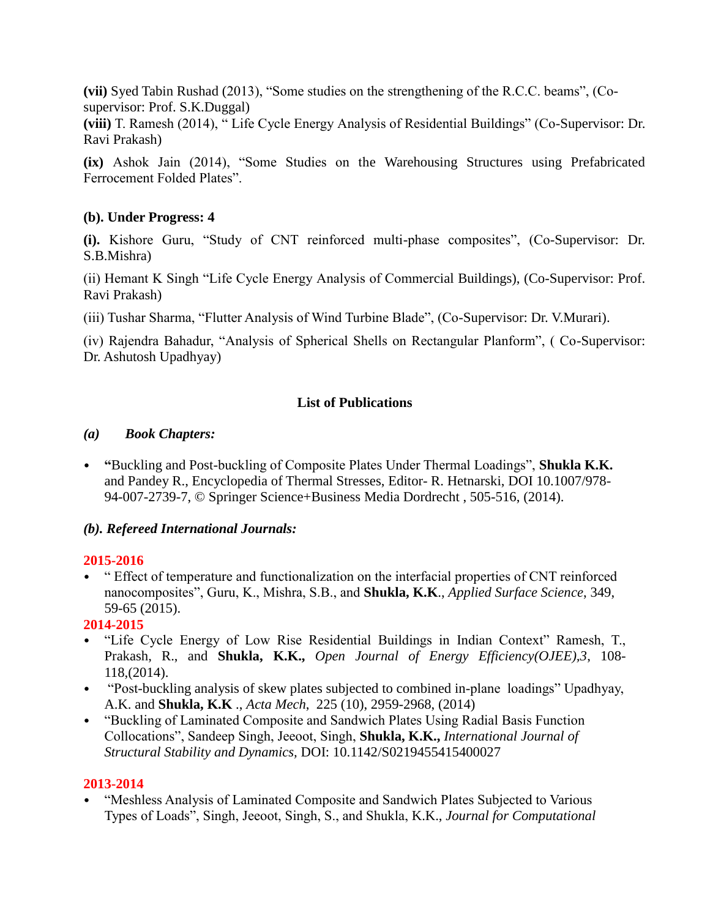**(vii)** Syed Tabin Rushad (2013), "Some studies on the strengthening of the R.C.C. beams", (Cosupervisor: Prof. S.K.Duggal)

**(viii)** T. Ramesh (2014), " Life Cycle Energy Analysis of Residential Buildings" (Co-Supervisor: Dr. Ravi Prakash)

**(ix)** Ashok Jain (2014), "Some Studies on the Warehousing Structures using Prefabricated Ferrocement Folded Plates".

#### **(b). Under Progress: 4**

**(i).** Kishore Guru, "Study of CNT reinforced multi-phase composites", (Co-Supervisor: Dr. S.B.Mishra)

(ii) Hemant K Singh "Life Cycle Energy Analysis of Commercial Buildings), (Co-Supervisor: Prof. Ravi Prakash)

(iii) Tushar Sharma, "Flutter Analysis of Wind Turbine Blade", (Co-Supervisor: Dr. V.Murari).

(iv) Rajendra Bahadur, "Analysis of Spherical Shells on Rectangular Planform", ( Co-Supervisor: Dr. Ashutosh Upadhyay)

## **List of Publications**

### *(a) Book Chapters:*

• **"**Buckling and Post-buckling of Composite Plates Under Thermal Loadings", **Shukla K.K.** and Pandey R., Encyclopedia of Thermal Stresses, Editor- R. Hetnarski, DOI 10.1007/978- 94-007-2739-7, © Springer Science+Business Media Dordrecht , 505-516, (2014).

## *(b). Refereed International Journals:*

#### **2015-2016**

• " Effect of temperature and functionalization on the interfacial properties of CNT reinforced nanocomposites", Guru, K., Mishra, S.B., and **Shukla, K.K**., *Applied Surface Science*, 349, 59-65 (2015).

## **2014-2015**

- "Life Cycle Energy of Low Rise Residential Buildings in Indian Context" Ramesh, T., Prakash, R., and **Shukla, K.K.,** *Open Journal of Energy Efficiency(OJEE),3*, 108- 118,(2014).
- "Post-buckling analysis of skew plates subjected to combined in-plane loadings" Upadhyay, A.K. and **Shukla, K.K** ., *Acta Mech*, 225 (10), 2959-2968, (2014)
- "Buckling of Laminated Composite and Sandwich Plates Using Radial Basis Function Collocations", Sandeep Singh, Jeeoot, Singh, **Shukla, K.K.,** *International Journal of Structural Stability and Dynamics,* DOI: 10.1142/S0219455415400027

#### **2013-2014**

• "Meshless Analysis of Laminated Composite and Sandwich Plates Subjected to Various Types of Loads", Singh, Jeeoot, Singh, S., and Shukla, K.K., *Journal for Computational*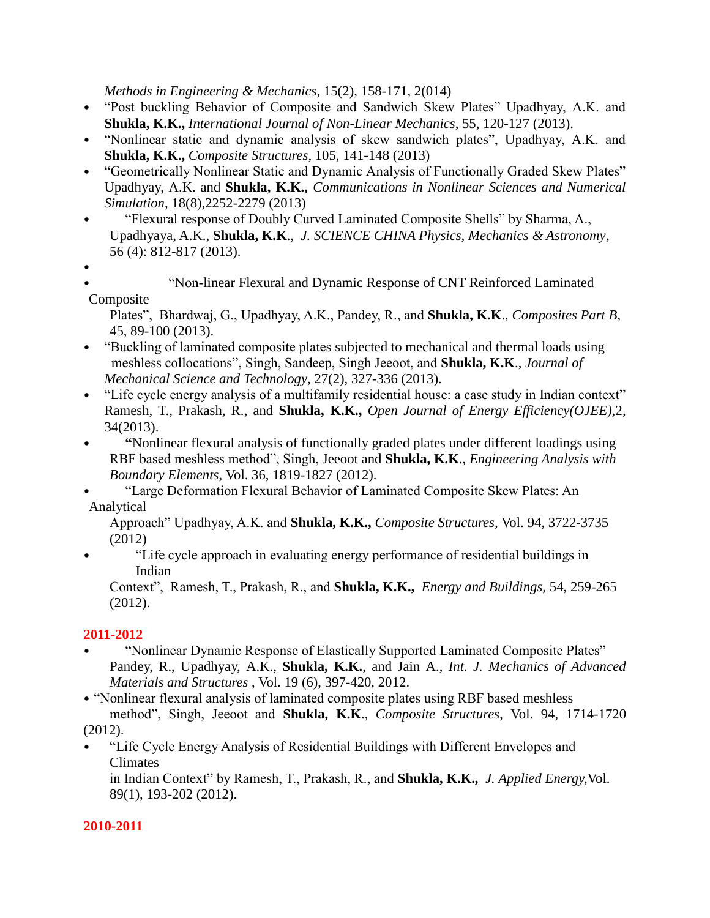*Methods in Engineering & Mechanics*, 15(2), 158-171, 2(014)

- "Post buckling Behavior of Composite and Sandwich Skew Plates" Upadhyay, A.K. and **Shukla, K.K.,** *International Journal of Non-Linear Mechanics*, 55, 120-127 (2013).
- "Nonlinear static and dynamic analysis of skew sandwich plates", Upadhyay, A.K. and **Shukla, K.K.,** *Composite Structures*, 105, 141-148 (2013)
- "Geometrically Nonlinear Static and Dynamic Analysis of Functionally Graded Skew Plates" Upadhyay, A.K. and **Shukla, K.K.,** *Communications in Nonlinear Sciences and Numerical Simulation,* 18(8),2252-2279 (2013)
- "Flexural response of Doubly Curved Laminated Composite Shells" by Sharma, A., Upadhyaya, A.K., **Shukla, K.K**., *J. SCIENCE CHINA Physics, Mechanics & Astronomy*, 56 (4): 812-817 (2013).
- •
- "Non-linear Flexural and Dynamic Response of CNT Reinforced Laminated Composite

Plates", Bhardwaj, G., Upadhyay, A.K., Pandey, R., and **Shukla, K.K**., *Composites Part B*, 45, 89-100 (2013).

- "Buckling of laminated composite plates subjected to mechanical and thermal loads using meshless collocations", Singh, Sandeep, Singh Jeeoot, and **Shukla, K.K**., *Journal of Mechanical Science and Technology*, 27(2), 327-336 (2013).
- "Life cycle energy analysis of a multifamily residential house: a case study in Indian context" Ramesh, T., Prakash, R., and **Shukla, K.K.,** *Open Journal of Energy Efficiency(OJEE),*2, 34(2013).
- **"**Nonlinear flexural analysis of functionally graded plates under different loadings using RBF based meshless method", Singh, Jeeoot and **Shukla, K.K**., *Engineering Analysis with Boundary Elements*, Vol. 36, 1819-1827 (2012).
- "Large Deformation Flexural Behavior of Laminated Composite Skew Plates: An Analytical

Approach" Upadhyay, A.K. and **Shukla, K.K.,** *Composite Structures,* Vol. 94, 3722-3735 (2012)

• "Life cycle approach in evaluating energy performance of residential buildings in Indian

Context", Ramesh, T., Prakash, R., and **Shukla, K.K.,** *Energy and Buildings,* 54, 259-265 (2012).

## **2011-2012**

• "Nonlinear Dynamic Response of Elastically Supported Laminated Composite Plates" Pandey, R., Upadhyay, A.K., **Shukla, K.K.**, and Jain A., *Int. J. Mechanics of Advanced Materials and Structures* , Vol. 19 (6), 397-420, 2012.

• "Nonlinear flexural analysis of laminated composite plates using RBF based meshless method", Singh, Jeeoot and **Shukla, K.K**., *Composite Structures*, Vol. 94, 1714-1720 (2012).

• "Life Cycle Energy Analysis of Residential Buildings with Different Envelopes and Climates

in Indian Context" by Ramesh, T., Prakash, R., and **Shukla, K.K.,** *J. Applied Energy,*Vol. 89(1), 193-202 (2012).

## **2010-2011**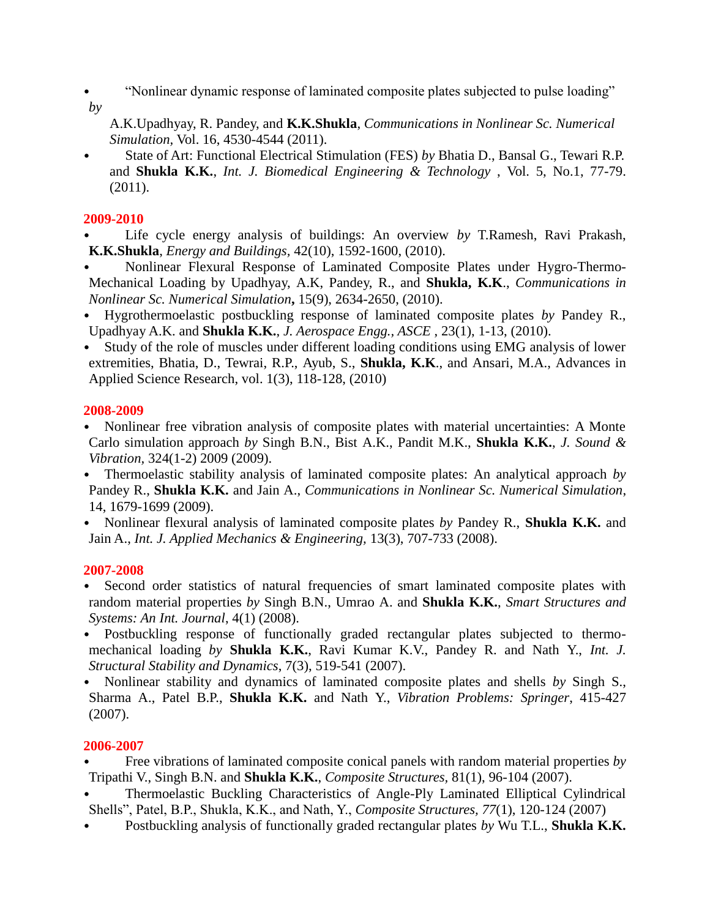- "Nonlinear dynamic response of laminated composite plates subjected to pulse loading" *by*
- 

A.K.Upadhyay, R. Pandey, and **K.K.Shukla**, *Communications in Nonlinear Sc. Numerical Simulation,* Vol. 16, 4530-4544 (2011).

• State of Art: Functional Electrical Stimulation (FES) *by* Bhatia D., Bansal G., Tewari R.P. and **Shukla K.K.**, *Int. J. Biomedical Engineering & Technology* , Vol. 5, No.1, 77-79. (2011).

## **2009-2010**

- Life cycle energy analysis of buildings: An overview by T.Ramesh, Ravi Prakash, **K.K.Shukla**, *Energy and Buildings,* 42(10), 1592-1600, (2010).
- Nonlinear Flexural Response of Laminated Composite Plates under Hygro-Thermo-Mechanical Loading by Upadhyay, A.K, Pandey, R., and **Shukla, K.K**., *Communications in Nonlinear Sc. Numerical Simulation***,** 15(9), 2634-2650, (2010).
- Hygrothermoelastic postbuckling response of laminated composite plates *by* Pandey R., Upadhyay A.K. and **Shukla K.K.**, *J. Aerospace Engg., ASCE* , 23(1), 1-13, (2010).
- Study of the role of muscles under different loading conditions using EMG analysis of lower extremities, Bhatia, D., Tewrai, R.P., Ayub, S., **Shukla, K.K**., and Ansari, M.A., Advances in Applied Science Research, vol. 1(3), 118-128, (2010)

### **2008-2009**

- Nonlinear free vibration analysis of composite plates with material uncertainties: A Monte Carlo simulation approach *by* Singh B.N., Bist A.K., Pandit M.K., **Shukla K.K.**, *J. Sound & Vibration,* 324(1-2) 2009 (2009).
- Thermoelastic stability analysis of laminated composite plates: An analytical approach *by* Pandey R., **Shukla K.K.** and Jain A., *Communications in Nonlinear Sc. Numerical Simulation*, 14, 1679-1699 (2009).
- Nonlinear flexural analysis of laminated composite plates *by* Pandey R., **Shukla K.K.** and Jain A., *Int. J. Applied Mechanics & Engineering,* 13(3), 707-733 (2008).

## **2007-2008**

- Second order statistics of natural frequencies of smart laminated composite plates with random material properties *by* Singh B.N., Umrao A. and **Shukla K.K.**, *Smart Structures and Systems: An Int. Journal*, 4(1) (2008).
- Postbuckling response of functionally graded rectangular plates subjected to thermomechanical loading *by* **Shukla K.K.**, Ravi Kumar K.V., Pandey R. and Nath Y., *Int. J. Structural Stability and Dynamics*, 7(3), 519-541 (2007).
- Nonlinear stability and dynamics of laminated composite plates and shells *by* Singh S., Sharma A., Patel B.P., **Shukla K.K.** and Nath Y., *Vibration Problems: Springer*, 415-427 (2007).

## **2006-2007**

- Free vibrations of laminated composite conical panels with random material properties *by* Tripathi V., Singh B.N. and **Shukla K.K.**, *Composite Structures,* 81(1), 96-104 (2007).
- Thermoelastic Buckling Characteristics of Angle-Ply Laminated Elliptical Cylindrical Shells", Patel, B.P., Shukla, K.K., and Nath, Y., *Composite Structures, 77*(1), 120-124 (2007)
- Postbuckling analysis of functionally graded rectangular plates *by* Wu T.L., **Shukla K.K.**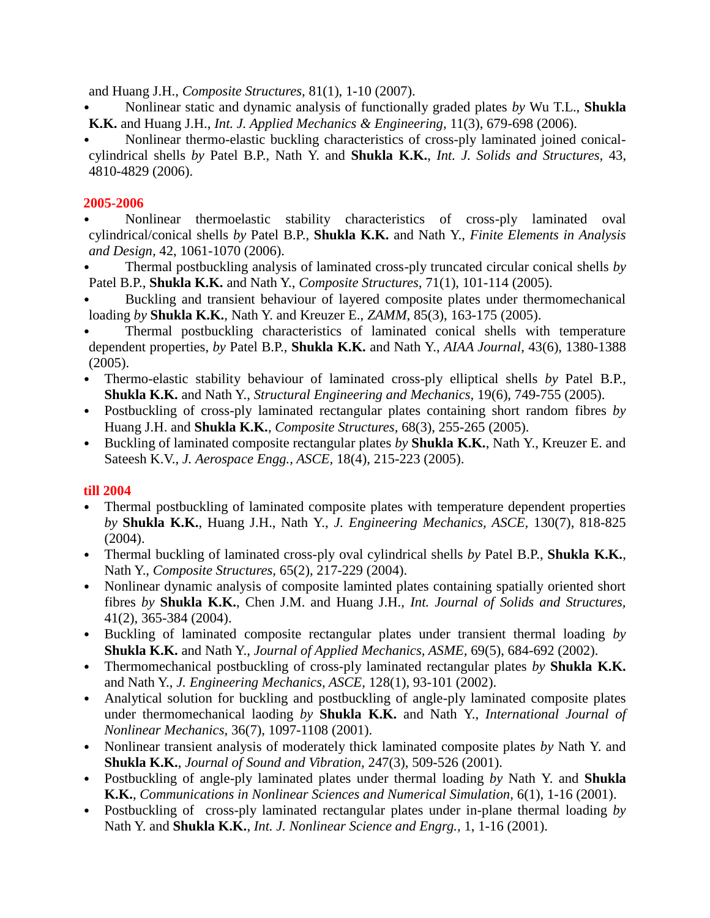and Huang J.H., *Composite Structures,* 81(1), 1-10 (2007).

- Nonlinear static and dynamic analysis of functionally graded plates *by* Wu T.L., **Shukla K.K.** and Huang J.H., *Int. J. Applied Mechanics & Engineering,* 11(3), 679-698 (2006).
- Nonlinear thermo-elastic buckling characteristics of cross-ply laminated joined conicalcylindrical shells *by* Patel B.P., Nath Y. and **Shukla K.K.**, *Int. J. Solids and Structures,* 43, 4810-4829 (2006).

#### **2005-2006**

- Nonlinear thermoelastic stability characteristics of cross-ply laminated oval cylindrical/conical shells *by* Patel B.P., **Shukla K.K.** and Nath Y., *Finite Elements in Analysis and Design,* 42, 1061-1070 (2006).
- Thermal postbuckling analysis of laminated cross-ply truncated circular conical shells *by* Patel B.P., **Shukla K.K.** and Nath Y., *Composite Structures,* 71(1), 101-114 (2005).
- Buckling and transient behaviour of layered composite plates under thermomechanical loading *by* **Shukla K.K.**, Nath Y. and Kreuzer E., *ZAMM*, 85(3), 163-175 (2005).
- Thermal postbuckling characteristics of laminated conical shells with temperature dependent properties, *by* Patel B.P., **Shukla K.K.** and Nath Y., *AIAA Journal*, 43(6), 1380-1388 (2005).
- Thermo-elastic stability behaviour of laminated cross-ply elliptical shells *by* Patel B.P., **Shukla K.K.** and Nath Y., *Structural Engineering and Mechanics,* 19(6), 749-755 (2005).
- Postbuckling of cross-ply laminated rectangular plates containing short random fibres *by* Huang J.H. and **Shukla K.K.**, *Composite Structures,* 68(3), 255-265 (2005).
- Buckling of laminated composite rectangular plates *by* **Shukla K.K.**, Nath Y., Kreuzer E. and Sateesh K.V., *J. Aerospace Engg., ASCE,* 18(4), 215-223 (2005).

## **till 2004**

- Thermal postbuckling of laminated composite plates with temperature dependent properties *by* **Shukla K.K.**, Huang J.H., Nath Y., *J. Engineering Mechanics, ASCE,* 130(7), 818-825 (2004).
- Thermal buckling of laminated cross-ply oval cylindrical shells *by* Patel B.P., **Shukla K.K.**, Nath Y., *Composite Structures,* 65(2), 217-229 (2004).
- Nonlinear dynamic analysis of composite laminted plates containing spatially oriented short fibres *by* **Shukla K.K.**, Chen J.M. and Huang J.H., *Int. Journal of Solids and Structures,* 41(2), 365-384 (2004).
- Buckling of laminated composite rectangular plates under transient thermal loading *by* **Shukla K.K.** and Nath Y., *Journal of Applied Mechanics, ASME,* 69(5), 684-692 (2002).
- Thermomechanical postbuckling of cross-ply laminated rectangular plates *by* **Shukla K.K.** and Nath Y., *J. Engineering Mechanics, ASCE,* 128(1), 93-101 (2002).
- Analytical solution for buckling and postbuckling of angle-ply laminated composite plates under thermomechanical laoding *by* **Shukla K.K.** and Nath Y., *International Journal of Nonlinear Mechanics,* 36(7), 1097-1108 (2001).
- Nonlinear transient analysis of moderately thick laminated composite plates *by* Nath Y. and **Shukla K.K.**, *Journal of Sound and Vibration,* 247(3), 509-526 (2001).
- Postbuckling of angle-ply laminated plates under thermal loading *by* Nath Y. and **Shukla K.K.**, *Communications in Nonlinear Sciences and Numerical Simulation,* 6(1), 1-16 (2001).
- Postbuckling of cross-ply laminated rectangular plates under in-plane thermal loading *by* Nath Y. and **Shukla K.K.**, *Int. J. Nonlinear Science and Engrg.,* 1, 1-16 (2001).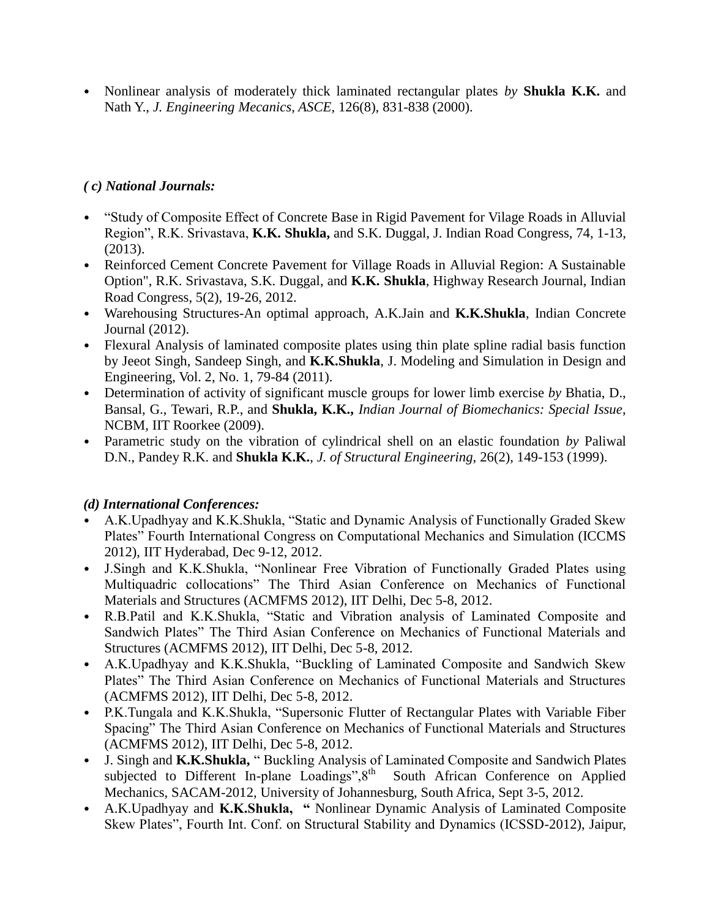• Nonlinear analysis of moderately thick laminated rectangular plates *by* **Shukla K.K.** and Nath Y., *J. Engineering Mecanics, ASCE,* 126(8), 831-838 (2000).

## *( c) National Journals:*

- "Study of Composite Effect of Concrete Base in Rigid Pavement for Vilage Roads in Alluvial Region", R.K. Srivastava, **K.K. Shukla,** and S.K. Duggal, J. Indian Road Congress, 74, 1-13, (2013).
- Reinforced Cement Concrete Pavement for Village Roads in Alluvial Region: A Sustainable Option", R.K. Srivastava, S.K. Duggal, and **K.K. Shukla**, Highway Research Journal, Indian Road Congress, 5(2), 19-26, 2012.
- Warehousing Structures-An optimal approach, A.K.Jain and **K.K.Shukla**, Indian Concrete Journal (2012).
- Flexural Analysis of laminated composite plates using thin plate spline radial basis function by Jeeot Singh, Sandeep Singh, and **K.K.Shukla**, J. Modeling and Simulation in Design and Engineering, Vol. 2, No. 1, 79-84 (2011).
- Determination of activity of significant muscle groups for lower limb exercise *by* Bhatia, D., Bansal, G., Tewari, R.P., and **Shukla, K.K.,** *Indian Journal of Biomechanics: Special Issue*, NCBM, IIT Roorkee (2009).
- Parametric study on the vibration of cylindrical shell on an elastic foundation *by* Paliwal D.N., Pandey R.K. and **Shukla K.K.**, *J. of Structural Engineering,* 26(2), 149-153 (1999).

## *(d) International Conferences:*

- A.K.Upadhyay and K.K.Shukla, "Static and Dynamic Analysis of Functionally Graded Skew Plates" Fourth International Congress on Computational Mechanics and Simulation (ICCMS 2012), IIT Hyderabad, Dec 9-12, 2012.
- J.Singh and K.K.Shukla, "Nonlinear Free Vibration of Functionally Graded Plates using Multiquadric collocations" The Third Asian Conference on Mechanics of Functional Materials and Structures (ACMFMS 2012), IIT Delhi, Dec 5-8, 2012.
- R.B.Patil and K.K.Shukla, "Static and Vibration analysis of Laminated Composite and Sandwich Plates" The Third Asian Conference on Mechanics of Functional Materials and Structures (ACMFMS 2012), IIT Delhi, Dec 5-8, 2012.
- A.K.Upadhyay and K.K.Shukla, "Buckling of Laminated Composite and Sandwich Skew Plates" The Third Asian Conference on Mechanics of Functional Materials and Structures (ACMFMS 2012), IIT Delhi, Dec 5-8, 2012.
- P.K.Tungala and K.K.Shukla, "Supersonic Flutter of Rectangular Plates with Variable Fiber Spacing" The Third Asian Conference on Mechanics of Functional Materials and Structures (ACMFMS 2012), IIT Delhi, Dec 5-8, 2012.
- J. Singh and **K.K.Shukla,** " Buckling Analysis of Laminated Composite and Sandwich Plates subjected to Different In-plane Loadings", 8<sup>th</sup> South African Conference on Applied Mechanics, SACAM-2012, University of Johannesburg, South Africa, Sept 3-5, 2012.
- A.K.Upadhyay and **K.K.Shukla, "** Nonlinear Dynamic Analysis of Laminated Composite Skew Plates", Fourth Int. Conf. on Structural Stability and Dynamics (ICSSD-2012), Jaipur,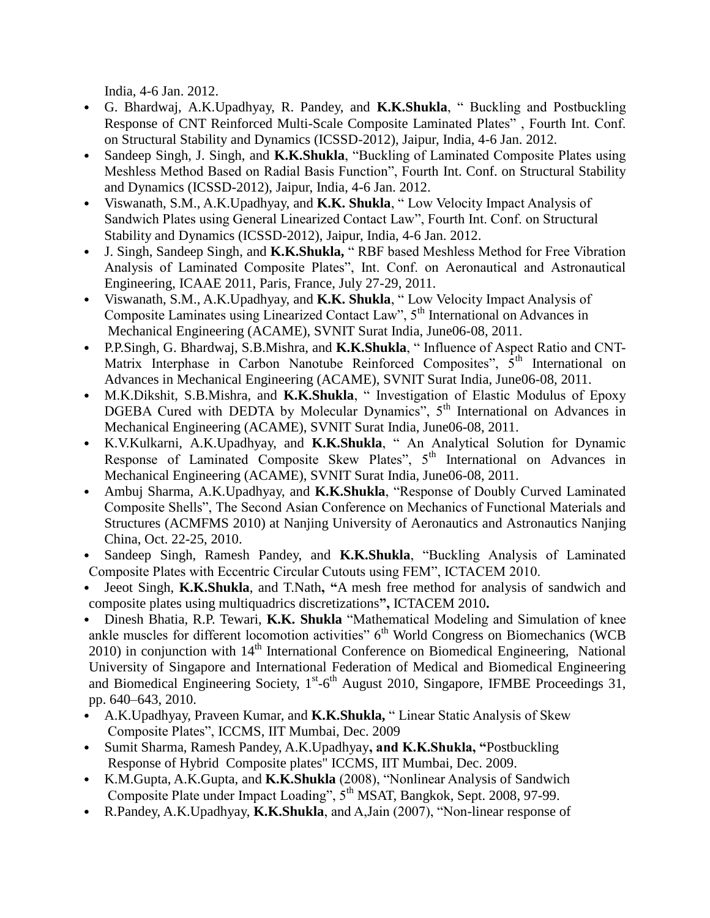India, 4-6 Jan. 2012.

- G. Bhardwaj, A.K.Upadhyay, R. Pandey, and **K.K.Shukla**, " Buckling and Postbuckling Response of CNT Reinforced Multi-Scale Composite Laminated Plates" , Fourth Int. Conf. on Structural Stability and Dynamics (ICSSD-2012), Jaipur, India, 4-6 Jan. 2012.
- Sandeep Singh, J. Singh, and **K.K.Shukla**, "Buckling of Laminated Composite Plates using Meshless Method Based on Radial Basis Function", Fourth Int. Conf. on Structural Stability and Dynamics (ICSSD-2012), Jaipur, India, 4-6 Jan. 2012.
- Viswanath, S.M., A.K.Upadhyay, and **K.K. Shukla**, " Low Velocity Impact Analysis of Sandwich Plates using General Linearized Contact Law", Fourth Int. Conf. on Structural Stability and Dynamics (ICSSD-2012), Jaipur, India, 4-6 Jan. 2012.
- J. Singh, Sandeep Singh, and **K.K.Shukla,** " RBF based Meshless Method for Free Vibration Analysis of Laminated Composite Plates", Int. Conf. on Aeronautical and Astronautical Engineering, ICAAE 2011, Paris, France, July 27-29, 2011.
- Viswanath, S.M., A.K.Upadhyay, and **K.K. Shukla**, " Low Velocity Impact Analysis of Composite Laminates using Linearized Contact Law", 5<sup>th</sup> International on Advances in Mechanical Engineering (ACAME), SVNIT Surat India, June06-08, 2011.
- P.P.Singh, G. Bhardwaj, S.B.Mishra, and **K.K.Shukla**, " Influence of Aspect Ratio and CNT-Matrix Interphase in Carbon Nanotube Reinforced Composites",  $5<sup>th</sup>$  International on Advances in Mechanical Engineering (ACAME), SVNIT Surat India, June06-08, 2011.
- M.K.Dikshit, S.B.Mishra, and **K.K.Shukla**, " Investigation of Elastic Modulus of Epoxy DGEBA Cured with DEDTA by Molecular Dynamics", 5<sup>th</sup> International on Advances in Mechanical Engineering (ACAME), SVNIT Surat India, June06-08, 2011.
- K.V.Kulkarni, A.K.Upadhyay, and **K.K.Shukla**, " An Analytical Solution for Dynamic Response of Laminated Composite Skew Plates", 5<sup>th</sup> International on Advances in Mechanical Engineering (ACAME), SVNIT Surat India, June06-08, 2011.
- Ambuj Sharma, A.K.Upadhyay, and **K.K.Shukla**, "Response of Doubly Curved Laminated Composite Shells", The Second Asian Conference on Mechanics of Functional Materials and Structures (ACMFMS 2010) at Nanjing University of Aeronautics and Astronautics Nanjing China, Oct. 22-25, 2010.
- Sandeep Singh, Ramesh Pandey, and **K.K.Shukla**, "Buckling Analysis of Laminated Composite Plates with Eccentric Circular Cutouts using FEM", ICTACEM 2010.
- Jeeot Singh, **K.K.Shukla**, and T.Nath**, "**A mesh free method for analysis of sandwich and composite plates using multiquadrics discretizations**",** ICTACEM 2010**.**
- Dinesh Bhatia, R.P. Tewari, **K.K. Shukla** "Mathematical Modeling and Simulation of knee ankle muscles for different locomotion activities"  $6<sup>th</sup>$  World Congress on Biomechanics (WCB 2010) in conjunction with 14<sup>th</sup> International Conference on Biomedical Engineering, National University of Singapore and International Federation of Medical and Biomedical Engineering and Biomedical Engineering Society,  $1^{st}$ -6<sup>th</sup> August 2010, Singapore, IFMBE Proceedings 31, pp. 640–643, 2010.
- A.K.Upadhyay, Praveen Kumar, and **K.K.Shukla,** " Linear Static Analysis of Skew Composite Plates", ICCMS, IIT Mumbai, Dec. 2009
- Sumit Sharma, Ramesh Pandey, A.K.Upadhyay**, and K.K.Shukla, "**Postbuckling Response of Hybrid Composite plates" ICCMS, IIT Mumbai, Dec. 2009.
- K.M.Gupta, A.K.Gupta, and **K.K.Shukla** (2008), "Nonlinear Analysis of Sandwich Composite Plate under Impact Loading", 5<sup>th</sup> MSAT, Bangkok, Sept. 2008, 97-99.
- R.Pandey, A.K.Upadhyay, **K.K.Shukla**, and A,Jain (2007), "Non-linear response of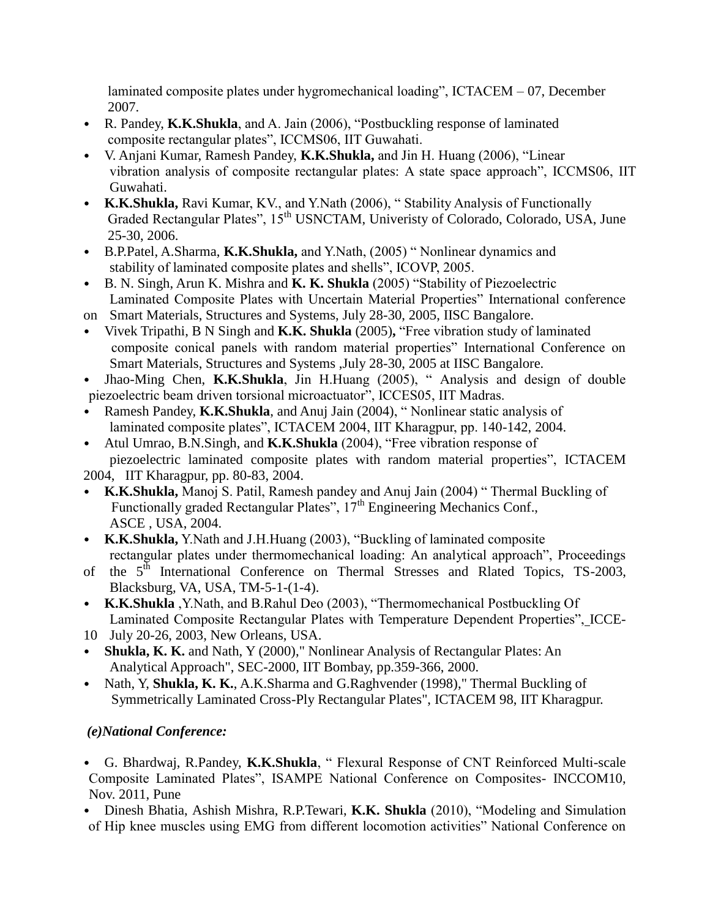laminated composite plates under hygromechanical loading", ICTACEM – 07, December 2007.

- R. Pandey, **K.K.Shukla**, and A. Jain (2006), "Postbuckling response of laminated composite rectangular plates", ICCMS06, IIT Guwahati.
- V. Anjani Kumar, Ramesh Pandey, **K.K.Shukla,** and Jin H. Huang (2006), "Linear vibration analysis of composite rectangular plates: A state space approach", ICCMS06, IIT Guwahati.
- **K.K.Shukla,** Ravi Kumar, KV., and Y.Nath (2006), " Stability Analysis of Functionally Graded Rectangular Plates", 15<sup>th</sup> USNCTAM, Univeristy of Colorado, Colorado, USA, June 25-30, 2006.
- B.P.Patel, A.Sharma, **K.K.Shukla,** and Y.Nath, (2005) " Nonlinear dynamics and stability of laminated composite plates and shells", ICOVP, 2005.
- B. N. Singh, Arun K. Mishra and **K. K. Shukla** (2005) "Stability of Piezoelectric Laminated Composite Plates with Uncertain Material Properties" International conference
- on Smart Materials, Structures and Systems, July 28-30, 2005, IISC Bangalore.
- Vivek Tripathi, B N Singh and **K.K. Shukla** (2005)**,** "Free vibration study of laminated composite conical panels with random material properties" International Conference on Smart Materials, Structures and Systems ,July 28-30, 2005 at IISC Bangalore.
- Jhao-Ming Chen, **K.K.Shukla**, Jin H.Huang (2005), " Analysis and design of double piezoelectric beam driven torsional microactuator", ICCES05, IIT Madras.
- Ramesh Pandey, **K.K.Shukla**, and Anuj Jain (2004), " Nonlinear static analysis of laminated composite plates", ICTACEM 2004, IIT Kharagpur, pp. 140-142, 2004.
- Atul Umrao, B.N.Singh, and **K.K.Shukla** (2004), "Free vibration response of piezoelectric laminated composite plates with random material properties", ICTACEM

2004, IIT Kharagpur, pp. 80-83, 2004.

- **K.K.Shukla,** Manoj S. Patil, Ramesh pandey and Anuj Jain (2004) " Thermal Buckling of Functionally graded Rectangular Plates",  $17<sup>th</sup>$  Engineering Mechanics Conf., ASCE , USA, 2004.
- **K.K.Shukla,** Y.Nath and J.H.Huang (2003), "Buckling of laminated composite rectangular plates under thermomechanical loading: An analytical approach", Proceedings
- of the 5<sup>th</sup> International Conference on Thermal Stresses and Rlated Topics, TS-2003, Blacksburg, VA, USA, TM-5-1-(1-4).
- **K.K.Shukla** ,Y.Nath, and B.Rahul Deo (2003), "Thermomechanical Postbuckling Of Laminated Composite Rectangular Plates with Temperature Dependent Properties", ICCE-
- 10 July 20-26, 2003, New Orleans, USA.
- **Shukla, K. K.** and Nath, Y (2000)," Nonlinear Analysis of Rectangular Plates: An Analytical Approach", SEC-2000, IIT Bombay, pp.359-366, 2000.
- Nath, Y, **Shukla, K. K.**, A.K.Sharma and G.Raghvender (1998)," Thermal Buckling of Symmetrically Laminated Cross-Ply Rectangular Plates", ICTACEM 98, IIT Kharagpur.

# *(e)National Conference:*

- G. Bhardwaj, R.Pandey, **K.K.Shukla**, " Flexural Response of CNT Reinforced Multi-scale Composite Laminated Plates", ISAMPE National Conference on Composites- INCCOM10, Nov. 2011, Pune
- Dinesh Bhatia, Ashish Mishra, R.P.Tewari, **K.K. Shukla** (2010), "Modeling and Simulation of Hip knee muscles using EMG from different locomotion activities" National Conference on